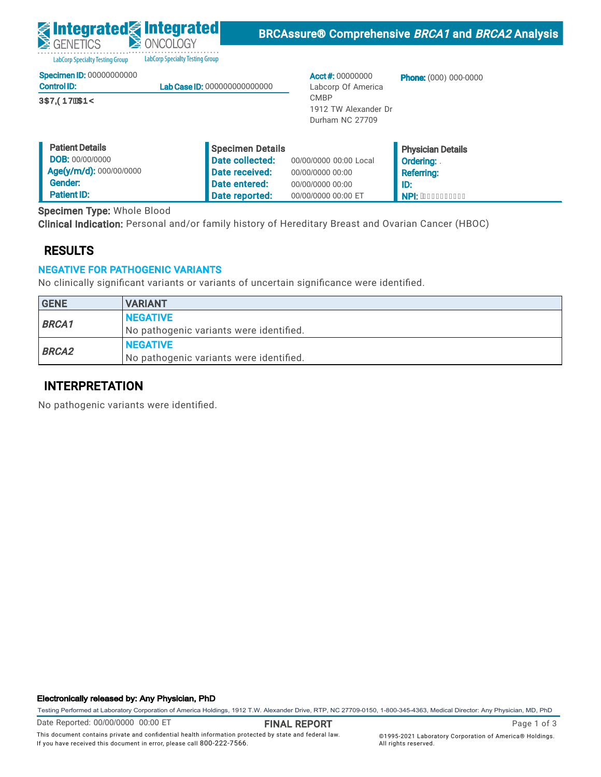LabCorp Specialty Testing Group LabCorp Specialty Testing Group

|  | Specimen ID: 00000000000 |  |
|--|--------------------------|--|
|  |                          |  |

| <b>Control ID:</b>   | <b>Lab Case ID: 000000000000000</b> |
|----------------------|-------------------------------------|
| <b>ÚŒVODDVĚKTEDŸ</b> |                                     |

Acct #: 00000000 Labcorp Of America CMBP 1912 TW Alexander Dr Durham NC 27709

**Phone:** (000) 000-0000

| <b>Patient Details</b>  | Specimen Details |                        | <b>Physician Details</b>  |
|-------------------------|------------------|------------------------|---------------------------|
| <b>DOB: 00/00/0000</b>  | Date collected:  | 00/00/0000 00:00 Local | Ordering:                 |
| Age(y/m/d): 000/00/0000 | Date received:   | 00/00/0000 00:00       | <b>Referring:</b>         |
| Gender:                 | Date entered:    | 00/00/0000 00:00       | l ID:                     |
| <b>Patient ID:</b>      | Date reported:   | 00/00/0000 00:00 ET    | <b>A NPI: AEEEEEEEEEE</b> |

Specimen Type: Whole Blood

Clinical Indication: Personal and/or family history of Hereditary Breast and Ovarian Cancer (HBOC)

### RESULTS

### NEGATIVE FOR PATHOGENIC VARIANTS

No clinically significant variants or variants of uncertain significance were identified.

| <b>GENE</b>  | <b>VARIANT</b>                          |
|--------------|-----------------------------------------|
| <b>BRCA1</b> | <b>NEGATIVE</b>                         |
|              | No pathogenic variants were identified. |
|              | <b>NEGATIVE</b>                         |
| <b>BRCA2</b> | No pathogenic variants were identified. |

### INTERPRETATION

No pathogenic variants were identified.

#### Electronically released by: Any Physician, PhD

Testing Performed at Laboratory Corporation of America Holdings, 1912 T.W. Alexander Drive, RTP, NC 27709-0150, 1-800-345-4363, Medical Director: Any Physician, MD, PhD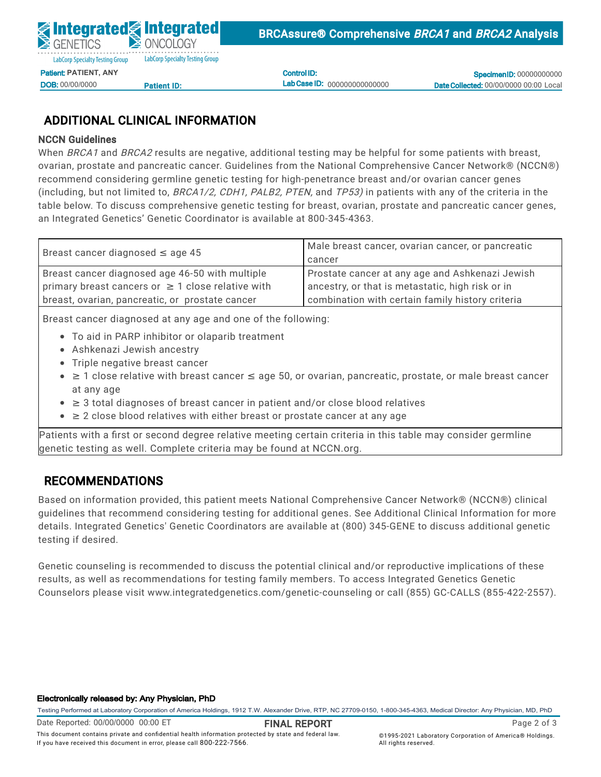Control ID: Lab Case ID: 000000000000000

**Specimen ID: 00000000000** Date Collected: 00/00/0000 00:00 Local

# ADDITIONAL CLINICAL INFORMATION

#### NCCN Guidelines

When *BRCA1* and *BRCA2* results are negative, additional testing may be helpful for some patients with breast, ovarian, prostate and pancreatic cancer. Guidelines from the National Comprehensive Cancer Network® (NCCN®)  $\frac{1}{2}$ ecommen<br>. (including, but not limited to, *BRCA1/2, CDH1, PALB2, PTEN,* and *TP53)* in patients with any of the criteria in the on caladimed from the rightman. lette testing for ingiliperietrance referre et<br>Fr recommend considering germline genetic testing for high-penetrance breast and/or ovarian cancer genes<br>. Specimen Type: Whole Blood table below. To discuss comprehensive genetic testing for breast, ovarian, prostate and pancreatic cancer genes, an Integrated Genetics' Genetic Coordinator is available at 800-345-4363.

| Breast cancer diagnosed $\leq$ age 45                  | Male breast cancer, ovarian cancer, or pancreatic |
|--------------------------------------------------------|---------------------------------------------------|
|                                                        | cancer                                            |
| Breast cancer diagnosed age 46-50 with multiple        | Prostate cancer at any age and Ashkenazi Jewish   |
| primary breast cancers or $\geq$ 1 close relative with | ancestry, or that is metastatic, high risk or in  |
| breast, ovarian, pancreatic, or prostate cancer        | combination with certain family history criteria  |

Breast cancer diagnosed at any age and one of the following:

- To aid in PARP inhibitor or olaparib treatment
- $\bullet$  Ashkenazi Jewish ancestry
	- $\widetilde{\phantom{a}}$  Triple negative breast cancer
- at any age ≥ 1 close relative with breast cancer ≤ age 50, or ovarian, pancreatic, prostate, or male breast cancer
- $▶ 3$  total diagnoses of breast cancer in patient and/or close blood relatives
	- ≥ 2 close blood relatives with either breast or prostate cancer at any age

Patients with a first or second degree relative meeting certain criteria in this table may consider germline genetic testing as well. Complete criteria may be found at NCCN.org.

## RECOMMENDATIONS

Based on information provided, this patient meets National Comprehensive Cancer Network® (NCCN®) clinical guidelines that recommend considering testing for additional genes. See Additional Clinical Information for more details. Integrated Genetics' Genetic Coordinators are available at (800) 345-GENE to discuss additional genetic testing if desired.

Genetic counseling is recommended to discuss the potential clinical and/or reproductive implications of these results, as well as recommendations for testing family members. To access Integrated Genetics Genetic Counselors please visit www.integratedgenetics.com/genetic-counseling or call (855) GC-CALLS (855-422-2557).

#### Electronically released by: Any Physician, PhD

Testing Performed at Laboratory Corporation of America Holdings, 1912 T.W. Alexander Drive, RTP, NC 27709-0150, 1-800-345-4363, Medical Director: Any Physician, MD, PhD